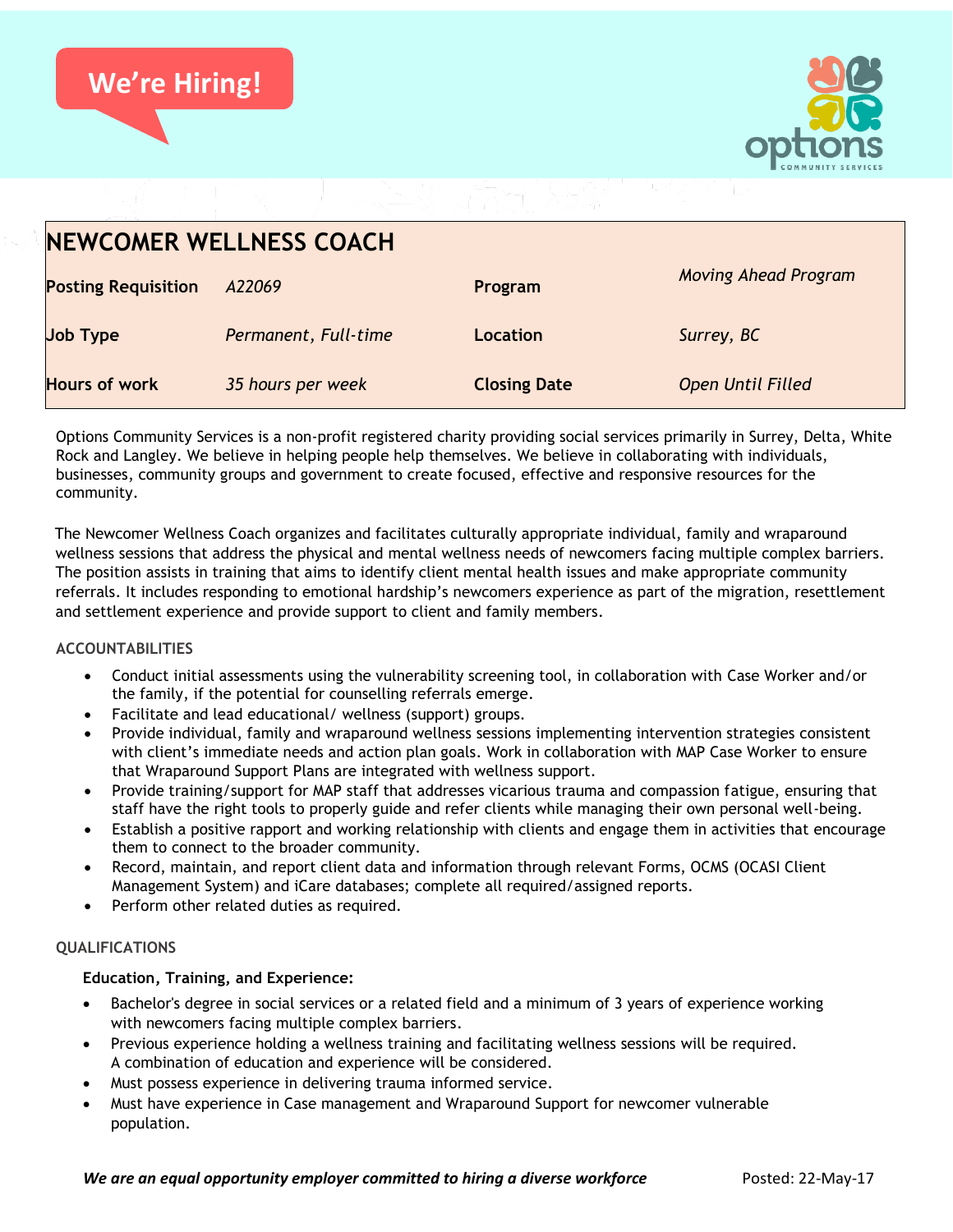



| <b>NEWCOMER WELLNESS COACH</b> |                      |                     |                             |
|--------------------------------|----------------------|---------------------|-----------------------------|
| <b>Posting Requisition</b>     | A22069               | Program             | <b>Moving Ahead Program</b> |
| <b>Job Type</b>                | Permanent, Full-time | Location            | Surrey, BC                  |
| Hours of work                  | 35 hours per week    | <b>Closing Date</b> | <b>Open Until Filled</b>    |

Options Community Services is a non-profit registered charity providing social services primarily in Surrey, Delta, White Rock and Langley. We believe in helping people help themselves. We believe in collaborating with individuals, businesses, community groups and government to create focused, effective and responsive resources for the community.

The Newcomer Wellness Coach organizes and facilitates culturally appropriate individual, family and wraparound wellness sessions that address the physical and mental wellness needs of newcomers facing multiple complex barriers. The position assists in training that aims to identify client mental health issues and make appropriate community referrals. It includes responding to emotional hardship's newcomers experience as part of the migration, resettlement and settlement experience and provide support to client and family members.

# **ACCOUNTABILITIES**

- Conduct initial assessments using the vulnerability screening tool, in collaboration with Case Worker and/or the family, if the potential for counselling referrals emerge.
- Facilitate and lead educational/ wellness (support) groups.
- Provide individual, family and wraparound wellness sessions implementing intervention strategies consistent with client's immediate needs and action plan goals. Work in collaboration with MAP Case Worker to ensure that Wraparound Support Plans are integrated with wellness support.
- Provide training/support for MAP staff that addresses vicarious trauma and compassion fatigue, ensuring that staff have the right tools to properly guide and refer clients while managing their own personal well-being.
- Establish a positive rapport and working relationship with clients and engage them in activities that encourage them to connect to the broader community.
- Record, maintain, and report client data and information through relevant Forms, OCMS (OCASI Client Management System) and iCare databases; complete all required/assigned reports.
- Perform other related duties as required.

# **QUALIFICATIONS**

# **Education, Training, and Experience:**

- Bachelor's degree in social services or a related field and a minimum of 3 years of experience working with newcomers facing multiple complex barriers.
- Previous experience holding a wellness training and facilitating wellness sessions will be required. A combination of education and experience will be considered.
- Must possess experience in delivering trauma informed service.
- Must have experience in Case management and Wraparound Support for newcomer vulnerable population.